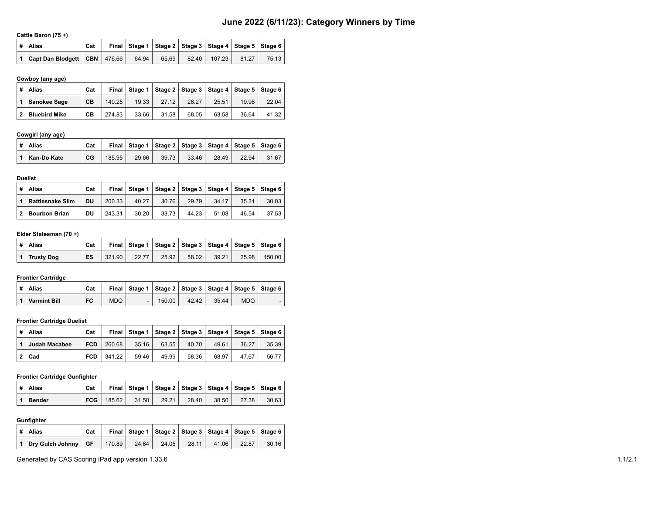# **June 2022 (6/11/23): Category Winners by Time**

#### **Cattle Baron (75 +)**

|  | ∣# ∣Alias                            | Cat |       | Final   Stage 1   Stage 2   Stage 3   Stage 4   Stage 5   Stage 6 |                |       |       |
|--|--------------------------------------|-----|-------|-------------------------------------------------------------------|----------------|-------|-------|
|  | 1   Capt Dan Blodgett   CBN   476.66 |     | 64.94 | 65.69                                                             | 82.40   107.23 | 81.27 | 75.13 |

#### **Cowboy (any age)**

| # | Alias                | Cat       | Final  |       |       |       |       | Stage 1   Stage 2   Stage 3   Stage 4   Stage 5   Stage 6 |       |
|---|----------------------|-----------|--------|-------|-------|-------|-------|-----------------------------------------------------------|-------|
|   | Sanokee Sage         | <b>CB</b> | 140.25 | 19.33 | 27.12 | 26.27 | 25.51 | 19.98                                                     | 22.04 |
| 2 | <b>Bluebird Mike</b> | <b>CB</b> | 274.83 | 33.66 | 31.58 | 68.05 | 63.58 | 36.64                                                     | 41.32 |

#### **Cowgirl (any age)**

|  | ∣#∣Alias            | Cat |        |       | Final   Stage 1   Stage 2   Stage 3   Stage 4   Stage 5   Stage 6 |       |       |       |       |
|--|---------------------|-----|--------|-------|-------------------------------------------------------------------|-------|-------|-------|-------|
|  | │ 1 │ Kan-Do Kate │ | CG  | 185.95 | 29.66 | 39.73                                                             | 33.46 | 28.49 | 22.94 | 31.67 |

#### **Duelist**

| #            | Alias                   | Cat |        | Final Stage 1 | │ Staɑe 2 │ Staɑe 3 │ Staɑe 4 │ Staɑe 5 │ Staɑe 6 |       |       |       |       |
|--------------|-------------------------|-----|--------|---------------|---------------------------------------------------|-------|-------|-------|-------|
|              | <b>Rattlesnake Slim</b> | DU  | 200.33 | 40.27         | 30.76                                             | 29.79 | 34.17 | 35.31 | 30.03 |
| $\mathbf{2}$ | <b>Bourbon Brian</b>    | DU  | 243.31 | 30.20         | 33.73                                             | 44.23 | 51.08 | 46.54 | 37.53 |

# **Elder Statesman (70 +)**

|  | $\vert$ # $\vert$ Alias | Cat |        |       | Final   Stage 1   Stage 2   Stage 3   Stage 4   Stage 5   Stage 6 |       |       |       |        |
|--|-------------------------|-----|--------|-------|-------------------------------------------------------------------|-------|-------|-------|--------|
|  | 1   Trustv Dog          | ES  | 321.90 | 22.77 | 25.92                                                             | 58.02 | 39.21 | 25.98 | 150.00 |

#### **Frontier Cartridge**

|  | ∣# ∣Alias                      | Cat |            |     |        |       |       | Final   Stage 1   Stage 2   Stage 3   Stage 4   Stage 5   Stage 6 |  |
|--|--------------------------------|-----|------------|-----|--------|-------|-------|-------------------------------------------------------------------|--|
|  | $\vert$ 1 $\vert$ Varmint Bill | FC  | <b>MDQ</b> | - 1 | 150.00 | 42.42 | 35.44 | MDO.                                                              |  |

# **Frontier Cartridge Duelist**

|  | #   Alias     | Cat        |        |       | Final   Stage 1   Stage 2   Stage 3   Stage 4   Stage 5   Stage 6 |       |       |       |       |
|--|---------------|------------|--------|-------|-------------------------------------------------------------------|-------|-------|-------|-------|
|  | Judah Macabee | <b>FCD</b> | 260.68 | 35.16 | 63.55                                                             | 40.70 | 49.61 | 36.27 | 35.39 |
|  | $2  $ Cad     | <b>FCD</b> | 341.22 | 59.46 | 49.99                                                             | 58.36 | 68.97 | 47.67 | 56.77 |

# **Frontier Cartridge Gunfighter**

| $\vert$ # $\vert$ Alias | Cat |                |       | Final   Stage 1   Stage 2   Stage 3   Stage 4   Stage 5   Stage 6 |       |       |       |       |
|-------------------------|-----|----------------|-------|-------------------------------------------------------------------|-------|-------|-------|-------|
| $ 1 $ Bender            |     | $FCG$   185.62 | 31.50 | 29.21                                                             | 28.40 | 38.50 | 27.38 | 30.63 |

#### **Gunfighter**

| ∣#   Alias                            | Cat |        |       | Final   Stage 1   Stage 2   Stage 3   Stage 4   Stage 5   Stage 6 |       |       |       |       |
|---------------------------------------|-----|--------|-------|-------------------------------------------------------------------|-------|-------|-------|-------|
| $\vert$ 1 Dry Gulch Johnny $\vert$ GF |     | 170.89 | 24.64 | 24.05                                                             | 28.11 | 41.06 | 22.87 | 30.16 |

Generated by CAS Scoring iPad app version 1.33.6 1.1/2.1